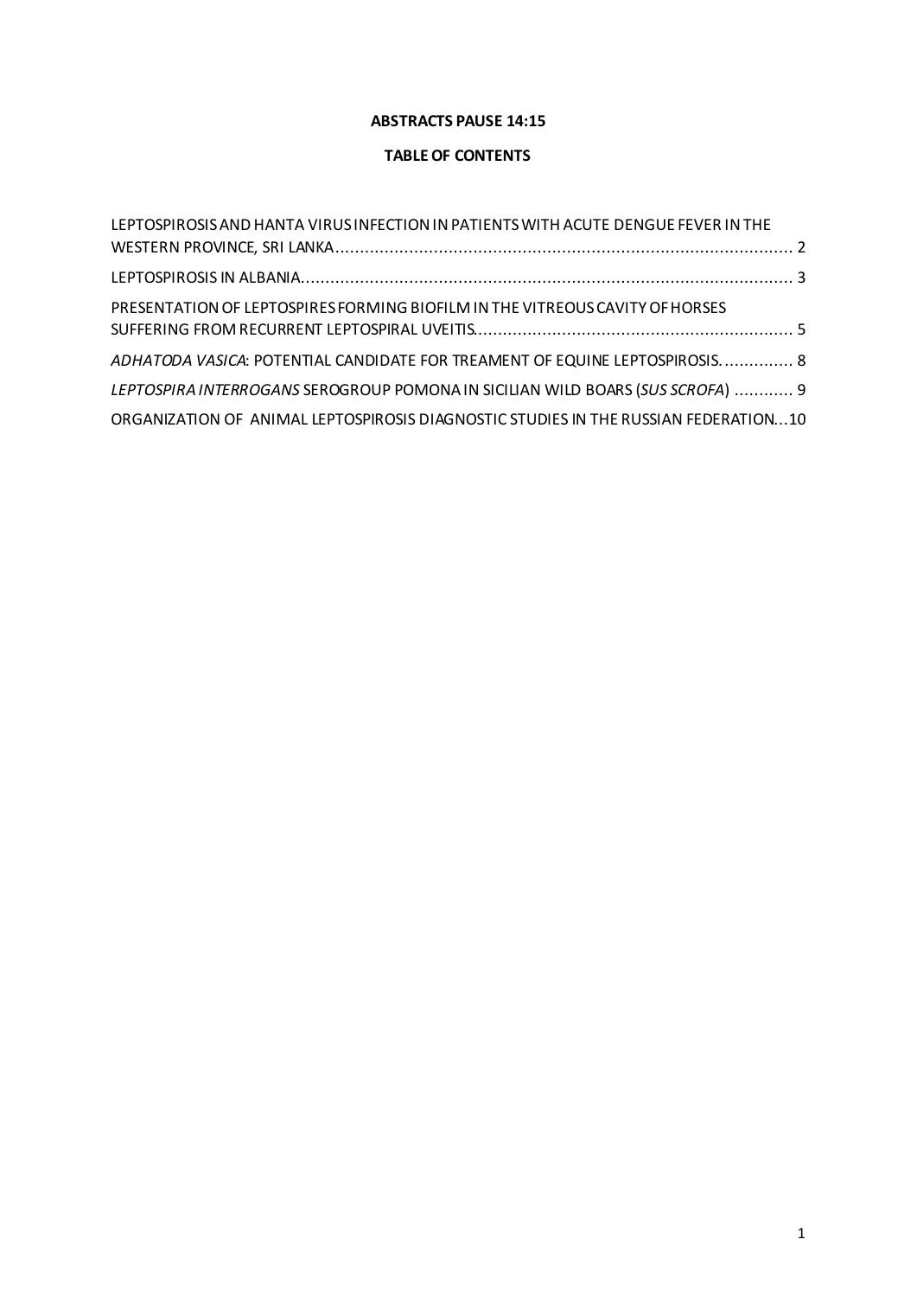### **ABSTRACTS PAUSE 14:15**

### **TABLE OF CONTENTS**

| LEPTOSPIROSIS AND HANTA VIRUS INFECTION IN PATIENTS WITH ACUTE DENGUE FEVER IN THE  |  |
|-------------------------------------------------------------------------------------|--|
|                                                                                     |  |
|                                                                                     |  |
| PRESENTATION OF LEPTOSPIRES FORMING BIOFILM IN THE VITREOUS CAVITY OF HORSES        |  |
|                                                                                     |  |
| ADHATODA VASICA: POTENTIAL CANDIDATE FOR TREAMENT OF EQUINE LEPTOSPIROSIS 8         |  |
| LEPTOSPIRA INTERROGANS SEROGROUP POMONA IN SICILIAN WILD BOARS (SUS SCROFA)  9      |  |
| ORGANIZATION OF ANIMAL LEPTOSPIROSIS DIAGNOSTIC STUDIES IN THE RUSSIAN FEDERATION10 |  |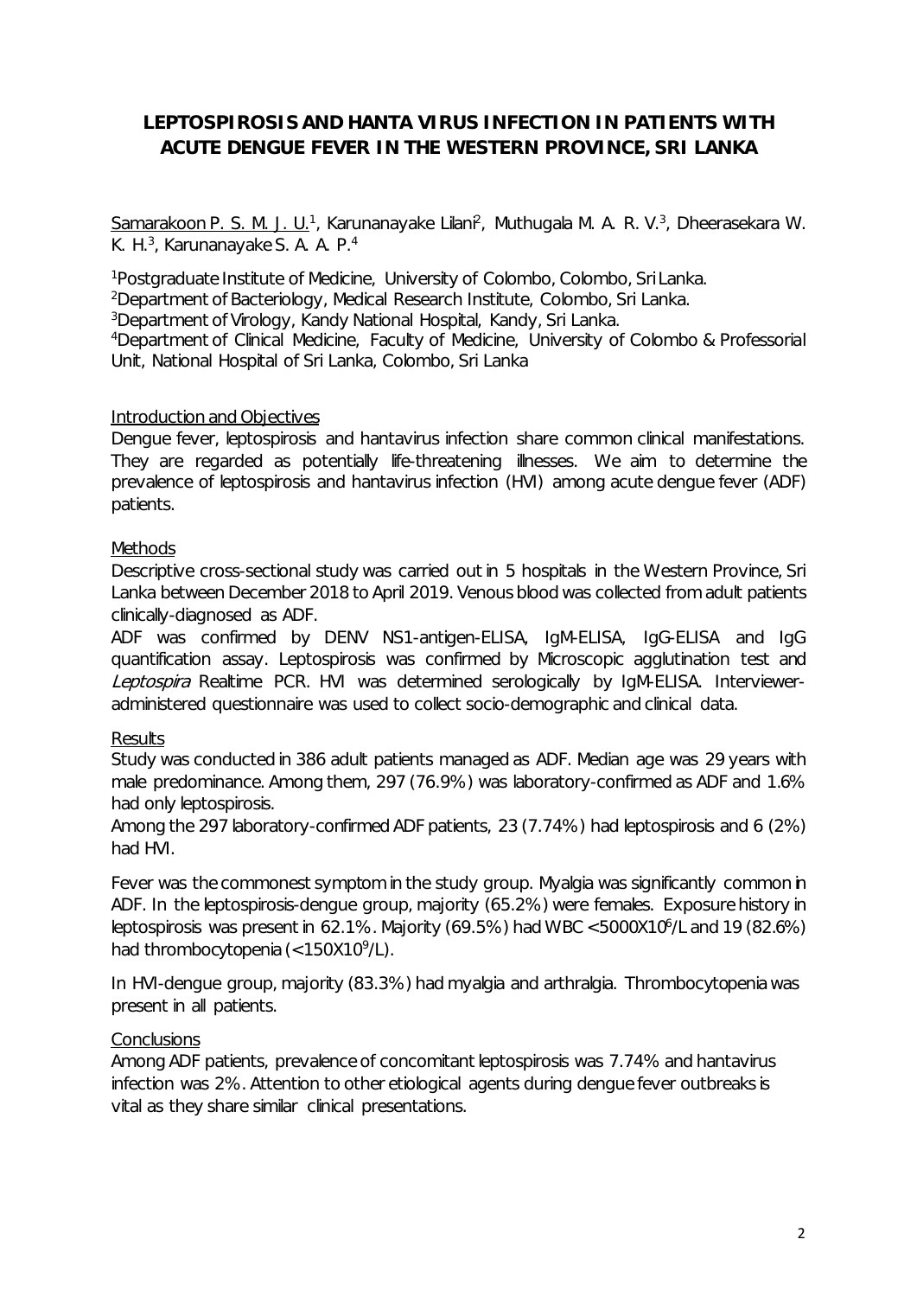# <span id="page-1-0"></span>**LEPTOSPIROSIS AND HANTA VIRUS INFECTION IN PATIENTS WITH ACUTE DENGUE FEVER IN THE WESTERN PROVINCE, SRI LANKA**

<u>Samarakoon P. S. M. J. U.</u><sup>1</sup>, Karunanayake Lilani<sup>2</sup>, Muthugala M. A. R. V.<sup>3</sup>, Dheerasekara W. K. H.<sup>3</sup>, Karunanayake S. A. A. P.<sup>4</sup>

1 Postgraduate Institute of Medicine, University of Colombo, Colombo, Sri Lanka. 2 Department of Bacteriology, Medical Research Institute, Colombo, Sri Lanka. 3 Department of Virology, Kandy National Hospital, Kandy, Sri Lanka. 4Department of Clinical Medicine, Faculty of Medicine, University of Colombo & Professorial Unit, National Hospital of Sri Lanka, Colombo, Sri Lanka

### Introduction and Objectives

Dengue fever, leptospirosis and hantavirus infection share common clinical manifestations. They are regarded as potentially life-threatening illnesses. We aim to determine the prevalence of leptospirosis and hantavirus infection (HVI) among acute dengue fever (ADF) patients.

## **Methods**

Descriptive cross-sectional study was carried out in 5 hospitals in the Western Province, Sri Lanka between December 2018 to April 2019. Venous blood was collected from adult patients clinically-diagnosed as ADF.

ADF was confirmed by DENV NS1-antigen-ELISA, IgM-ELISA, IgG-ELISA and IgG quantification assay. Leptospirosis was confirmed by Microscopic agglutination test and Leptospira Realtime PCR. HVI was determined serologically by IgM-ELISA. Intervieweradministered questionnaire was used to collect socio-demographic and clinical data.

### **Results**

Study was conducted in 386 adult patients managed as ADF. Median age was 29 years with male predominance. Among them, 297 (76.9%) was laboratory-confirmed as ADF and 1.6% had only leptospirosis.

Among the 297 laboratory-confirmed ADF patients, 23 (7.74%) had leptospirosis and 6 (2%) had HVI.

Fever was the commonest symptom in the study group. Myalgia was significantly common in ADF. In the leptospirosis-dengue group, majority (65.2%) were females. Exposure history in leptospirosis was present in 62.1%. Majority (69.5%) had WBC <5000X106 /L and 19 (82.6%) had thrombocytopenia (<150X10<sup>9</sup>/L).

In HVI-dengue group, majority (83.3%) had myalgia and arthralgia. Thrombocytopenia was present in all patients.

## **Conclusions**

Among ADF patients, prevalence of concomitant leptospirosis was 7.74% and hantavirus infection was 2%. Attention to other etiological agents during dengue fever outbreaks is vital as they share similar clinical presentations.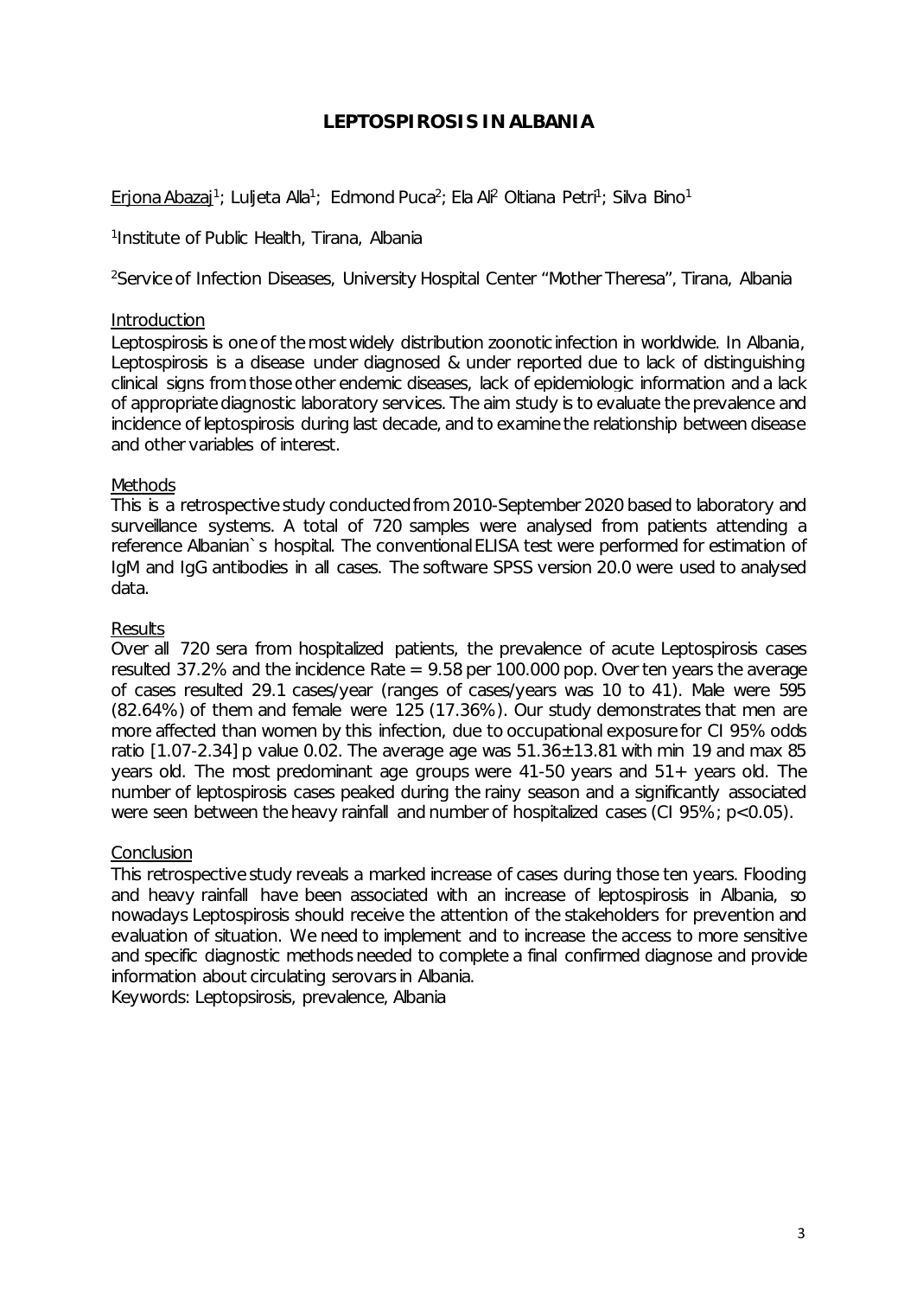# **LEPTOSPIROSIS IN ALBANIA**

<span id="page-2-0"></span><u>Erjona Abazaj</u>1; Luljeta Alla<sup>1</sup>; Edmond Puca<sup>2</sup>; Ela Ali<sup>2</sup> Oltiana Petri<sup>1</sup>; Silva Bino<sup>1</sup>

1 Institute of Public Health, Tirana, Albania

<sup>2</sup>Service of Infection Diseases, University Hospital Center "Mother Theresa", Tirana, Albania

#### **Introduction**

Leptospirosis is one of the most widely distribution zoonotic infection in worldwide. In Albania, Leptospirosis is a disease under diagnosed & under reported due to lack of distinguishing clinical signs from those other endemic diseases, lack of epidemiologic information and a lack of appropriate diagnostic laboratory services. The aim study is to evaluate the prevalence and incidence of leptospirosis during last decade, and to examine the relationship between disease and other variables of interest.

### **Methods**

This is a retrospective study conducted from 2010-September 2020 based to laboratory and surveillance systems. A total of 720 samples were analysed from patients attending a reference Albanian`s hospital. The conventional ELISA test were performed for estimation of IgM and IgG antibodies in all cases. The software SPSS version 20.0 were used to analysed data.

### **Results**

Over all 720 sera from hospitalized patients, the prevalence of acute Leptospirosis cases resulted 37.2% and the incidence Rate  $= 9.58$  per 100.000 pop. Over ten years the average of cases resulted 29.1 cases/year (ranges of cases/years was 10 to 41). Male were 595 (82.64%) of them and female were 125 (17.36%). Our study demonstrates that men are more affected than women by this infection, due to occupational exposure for CI 95% odds ratio [1.07-2.34] p value 0.02. The average age was  $51.36 \pm 13.81$  with min 19 and max 85 years old. The most predominant age groups were 41-50 years and 51+ years old. The number of leptospirosis cases peaked during the rainy season and a significantly associated were seen between the heavy rainfall and number of hospitalized cases (CI 95%; p<0.05).

#### **Conclusion**

This retrospective study reveals a marked increase of cases during those ten years. Flooding and heavy rainfall have been associated with an increase of leptospirosis in Albania, so nowadays Leptospirosis should receive the attention of the stakeholders for prevention and evaluation of situation. We need to implement and to increase the access to more sensitive and specific diagnostic methods needed to complete a final confirmed diagnose and provide information about circulating serovars in Albania.

Keywords: Leptopsirosis, prevalence, Albania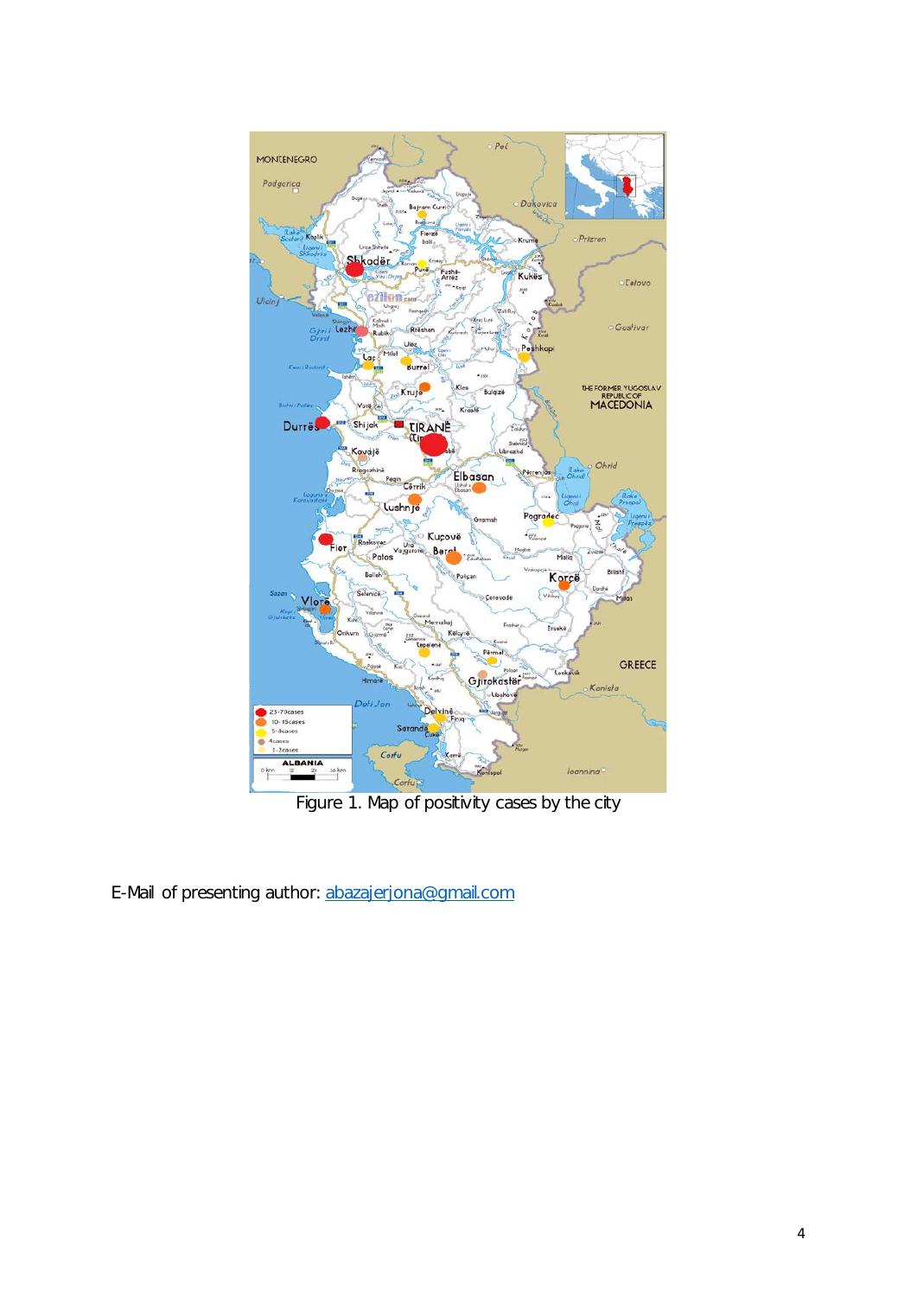

E-Mail of presenting author: [abazajerjona@gmail.com](mailto:abazajerjona@gmail.com)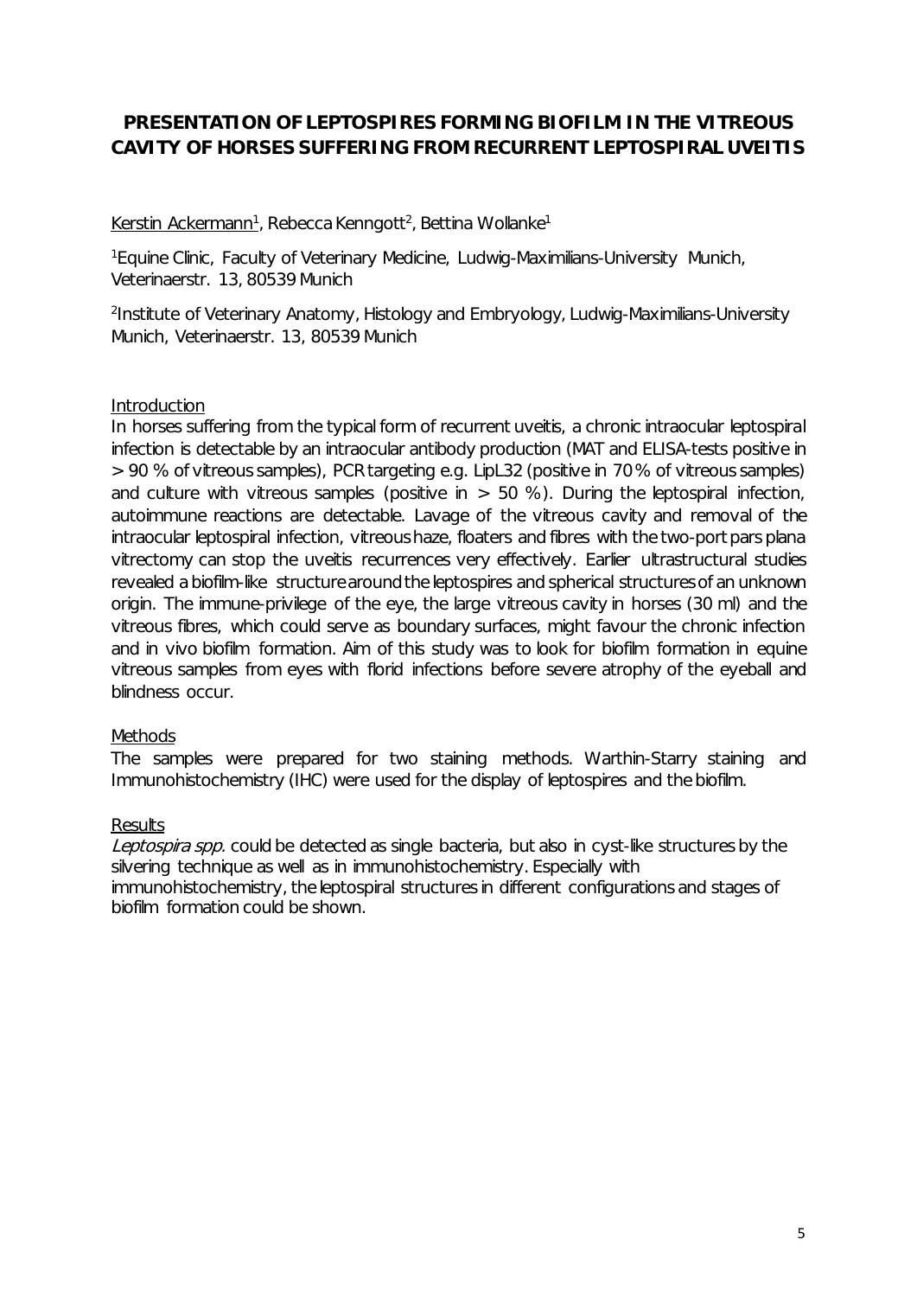# <span id="page-4-0"></span>**PRESENTATION OF LEPTOSPIRES FORMING BIOFILM IN THE VITREOUS CAVITY OF HORSES SUFFERING FROM RECURRENT LEPTOSPIRAL UVEITIS**

<u>Kerstin Ackermann<sup>1</sup>,</u> Rebecca Kenngott<sup>2</sup>, Bettina Wollanke<sup>1</sup>

<sup>1</sup>Equine Clinic, Faculty of Veterinary Medicine, Ludwig-Maximilians-University Munich, Veterinaerstr. 13, 80539 Munich

<sup>2</sup>Institute of Veterinary Anatomy, Histology and Embryology, Ludwig-Maximilians-University Munich, Veterinaerstr. 13, 80539 Munich

### Introduction

In horses suffering from the typical form of recurrent uveitis, a chronic intraocular leptospiral infection is detectable by an intraocular antibody production (MAT and ELISA-tests positive in > 90 % of vitreous samples), PCR targeting e.g. LipL32 (positive in 70 % of vitreous samples) and culture with vitreous samples (positive in  $> 50$  %). During the leptospiral infection, autoimmune reactions are detectable. Lavage of the vitreous cavity and removal of the intraocular leptospiral infection, vitreous haze, floaters and fibres with the two-port pars plana vitrectomy can stop the uveitis recurrences very effectively. Earlier ultrastructural studies revealed a biofilm-like structure around the leptospires and spherical structures of an unknown origin. The immune-privilege of the eye, the large vitreous cavity in horses (30 ml) and the vitreous fibres, which could serve as boundary surfaces, might favour the chronic infection and in vivo biofilm formation. Aim of this study was to look for biofilm formation in equine vitreous samples from eyes with florid infections before severe atrophy of the eyeball and blindness occur.

### Methods

The samples were prepared for two staining methods. Warthin-Starry staining and Immunohistochemistry (IHC) were used for the display of leptospires and the biofilm.

#### **Results**

Leptospira spp. could be detected as single bacteria, but also in cyst-like structures by the silvering technique as well as in immunohistochemistry. Especially with immunohistochemistry, the leptospiral structures in different configurations and stages of biofilm formation could be shown.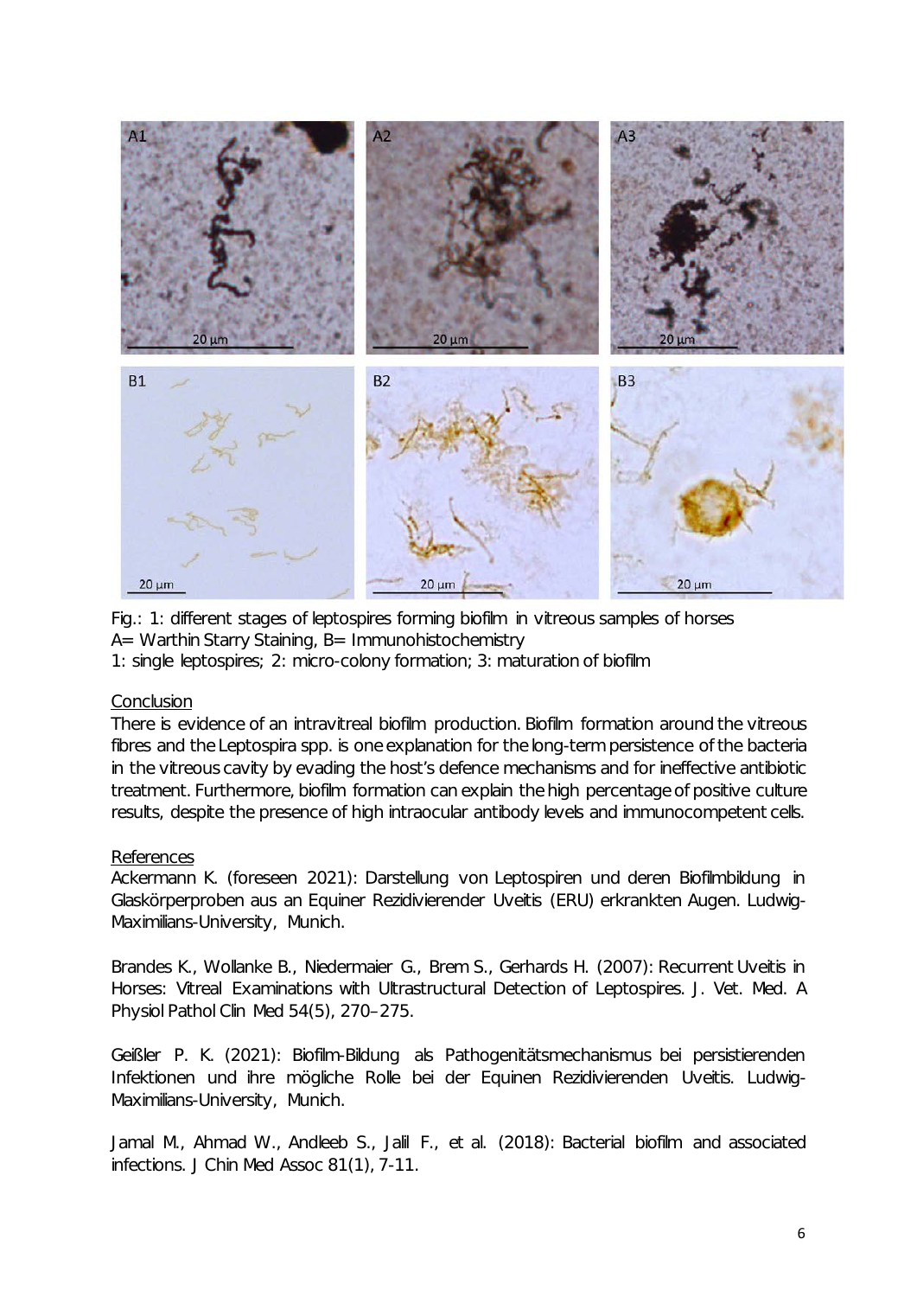

Fig.: 1: different stages of leptospires forming biofilm in vitreous samples of horses  $A=$  Warthin Starry Staining, B= Immunohistochemistry

1: single leptospires; 2: micro-colony formation; 3: maturation of biofilm

#### **Conclusion**

There is evidence of an intravitreal biofilm production. Biofilm formation around the vitreous fibres and the Leptospira spp. is one explanation for the long-term persistence of the bacteria in the vitreous cavity by evading the host's defence mechanisms and for ineffective antibiotic treatment. Furthermore, biofilm formation can explain the high percentage of positive culture results, despite the presence of high intraocular antibody levels and immunocompetent cells.

#### References

Ackermann K. (foreseen 2021): Darstellung von Leptospiren und deren Biofilmbildung in Glaskörperproben aus an Equiner Rezidivierender Uveitis (ERU) erkrankten Augen. Ludwig-Maximilians-University, Munich.

Brandes K., Wollanke B., Niedermaier G., Brem S., Gerhards H. (2007): Recurrent Uveitis in Horses: Vitreal Examinations with Ultrastructural Detection of Leptospires. J. Vet. Med. A Physiol Pathol Clin Med 54(5), 270–275.

Geißler P. K. (2021): Biofilm-Bildung als Pathogenitätsmechanismus bei persistierenden Infektionen und ihre mögliche Rolle bei der Equinen Rezidivierenden Uveitis. Ludwig-Maximilians-University, Munich.

Jamal M., Ahmad W., Andleeb S., Jalil F., et al. (2018): Bacterial biofilm and associated infections. J Chin Med Assoc 81(1), 7-11.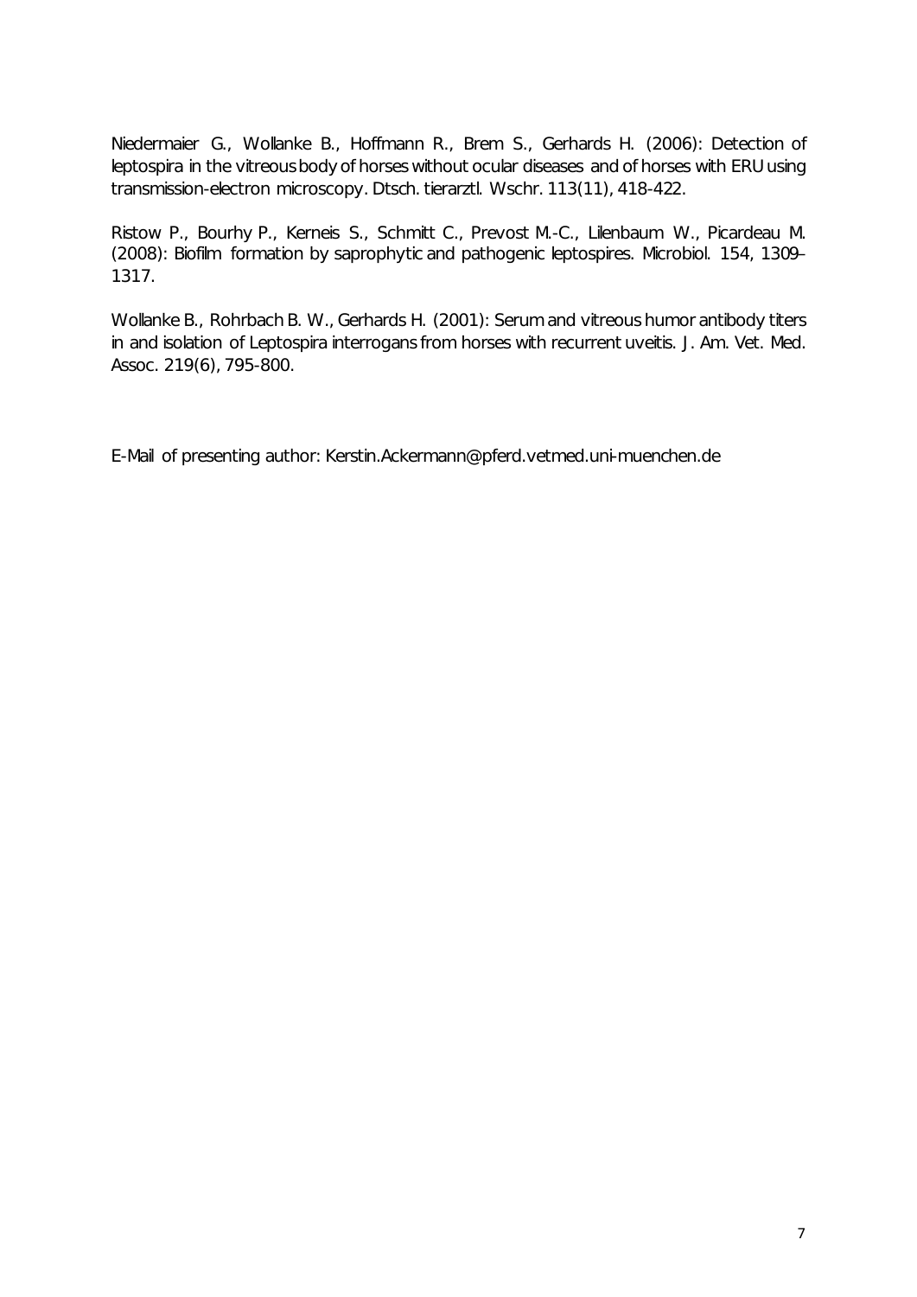Niedermaier G., Wollanke B., Hoffmann R., Brem S., Gerhards H. (2006): Detection of leptospira in the vitreous body of horses without ocular diseases and of horses with ERU using transmission-electron microscopy. Dtsch. tierarztl. Wschr. 113(11), 418-422.

Ristow P., Bourhy P., Kerneis S., Schmitt C., Prevost M.-C., Lilenbaum W., Picardeau M. (2008): Biofilm formation by saprophytic and pathogenic leptospires. Microbiol. 154, 1309– 1317.

Wollanke B., Rohrbach B. W., Gerhards H. (2001): Serum and vitreous humor antibody titers in and isolation of Leptospira interrogans from horses with recurrent uveitis. J. Am. Vet. Med. Assoc. 219(6), 795-800.

E-Mail of presenting author: Kerstin.Ackermann@pferd.vetmed.uni-muenchen.de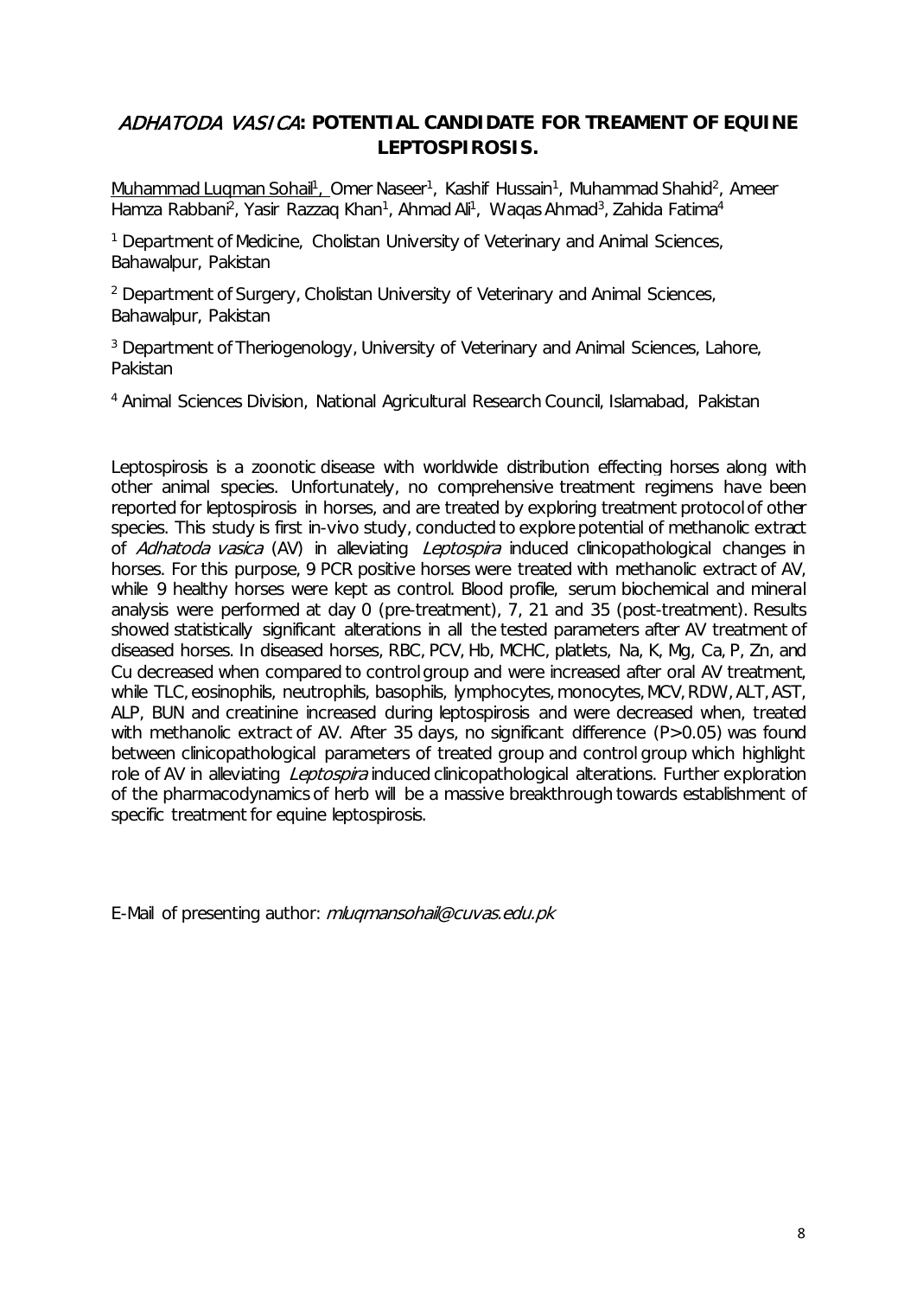# <span id="page-7-0"></span>ADHATODA VASICA**: POTENTIAL CANDIDATE FOR TREAMENT OF EQUINE LEPTOSPIROSIS.**

Muhammad Luqman Sohail<sup>1</sup>, Omer Naseer<sup>1</sup>, Kashif Hussain<sup>1</sup>, Muhammad Shahid<sup>2</sup>, Ameer Hamza Rabbani<sup>2</sup>, Yasir Razzaq Khan<sup>1</sup>, Ahmad Ali<sup>1</sup>, Waqas Ahmad<sup>3</sup>, Zahida Fatima<sup>4</sup>

<sup>1</sup> Department of Medicine, Cholistan University of Veterinary and Animal Sciences, Bahawalpur, Pakistan

<sup>2</sup> Department of Surgery, Cholistan University of Veterinary and Animal Sciences, Bahawalpur, Pakistan

<sup>3</sup> Department of Theriogenology, University of Veterinary and Animal Sciences, Lahore, Pakistan

<sup>4</sup> Animal Sciences Division, National Agricultural Research Council, Islamabad, Pakistan

Leptospirosis is a zoonotic disease with worldwide distribution effecting horses along with other animal species. Unfortunately, no comprehensive treatment regimens have been reported for leptospirosis in horses, and are treated by exploring treatment protocol of other species. This study is first in-vivo study, conducted to explore potential of methanolic extract of Adhatoda vasica (AV) in alleviating Leptospira induced clinicopathological changes in horses. For this purpose, 9 PCR positive horses were treated with methanolic extract of AV, while 9 healthy horses were kept as control. Blood profile, serum biochemical and mineral analysis were performed at day 0 (pre-treatment), 7, 21 and 35 (post-treatment). Results showed statistically significant alterations in all the tested parameters after AV treatment of diseased horses. In diseased horses, RBC, PCV, Hb, MCHC, platlets, Na, K, Mg, Ca, P, Zn, and Cu decreased when compared to control group and were increased after oral AV treatment, while TLC, eosinophils, neutrophils, basophils, lymphocytes, monocytes, MCV, RDW, ALT, AST, ALP, BUN and creatinine increased during leptospirosis and were decreased when, treated with methanolic extract of AV. After 35 days, no significant difference (P>0.05) was found between clinicopathological parameters of treated group and control group which highlight role of AV in alleviating Leptospira induced clinicopathological alterations. Further exploration of the pharmacodynamics of herb will be a massive breakthrough towards establishment of specific treatment for equine leptospirosis.

E-Mail of presenting author: mluqmansohail@cuvas.edu.pk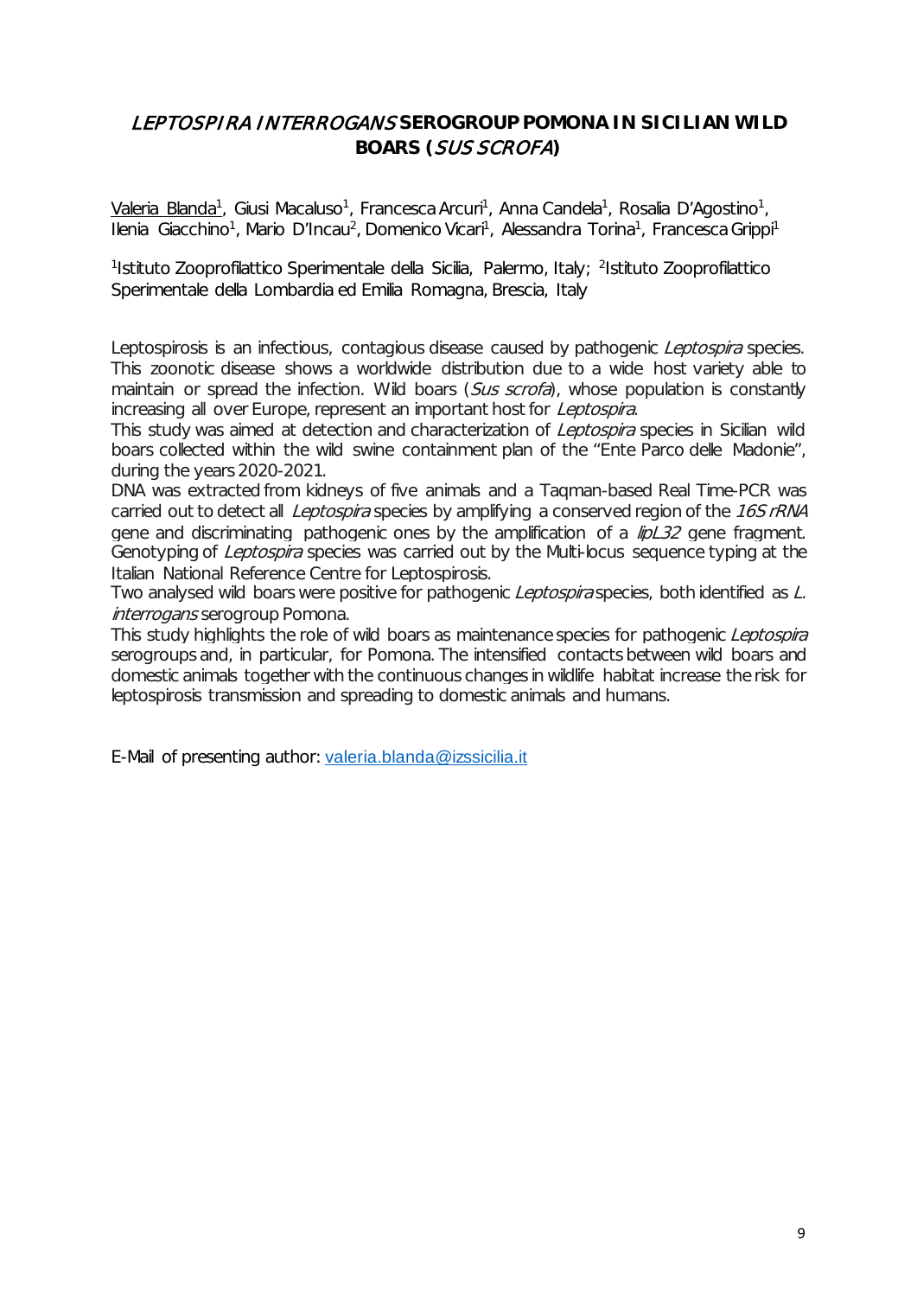# <span id="page-8-0"></span>LEPTOSPIRA INTERROGANS **SEROGROUP POMONA IN SICILIAN WILD BOARS (**SUS SCROFA**)**

<u>Valeria Blanda<sup>1</sup>,</u> Giusi Macaluso<sup>1</sup>, Francesca Arcuri<sup>1</sup>, Anna Candela<sup>1</sup>, Rosalia D'Agostino<sup>1</sup>, Ilenia Giacchino<sup>1</sup>, Mario D'Incau<sup>2</sup>, Domenico Vicari<sup>1</sup>, Alessandra Torina<sup>1</sup>, Francesca Grippi<sup>1</sup>

 $^{\rm 1}$ lstituto Zooprofilattico Sperimentale della Sicilia, Palermo, Italy;  $^{\rm 2}$ Istituto Zooprofilattico Sperimentale della Lombardia ed Emilia Romagna, Brescia, Italy

Leptospirosis is an infectious, contagious disease caused by pathogenic *Leptospira* species. This zoonotic disease shows a worldwide distribution due to a wide host variety able to maintain or spread the infection. Wild boars (Sus scrofa), whose population is constantly increasing all over Europe, represent an important host for Leptospira.

This study was aimed at detection and characterization of *Leptospira* species in Sicilian wild boars collected within the wild swine containment plan of the "Ente Parco delle Madonie", during the years 2020-2021.

DNA was extracted from kidneys of five animals and a Taqman-based Real Time-PCR was carried out to detect all *Leptospira* species by amplifying a conserved region of the 16S rRNA gene and discriminating pathogenic ones by the amplification of a  $\frac{f}{D}$  and fragment. Genotyping of Leptospira species was carried out by the Multi-locus sequence typing at the Italian National Reference Centre for Leptospirosis.

Two analysed wild boars were positive for pathogenic Leptospira species, both identified as L. interrogans serogroup Pomona.

This study highlights the role of wild boars as maintenance species for pathogenic Leptospira serogroups and, in particular, for Pomona. The intensified contacts between wild boars and domestic animals together with the continuous changes in wildlife habitat increase the risk for leptospirosis transmission and spreading to domestic animals and humans.

E-Mail of presenting author: [valeria.blanda@izssicilia.it](mailto:valeria.blanda@izssicilia.it)